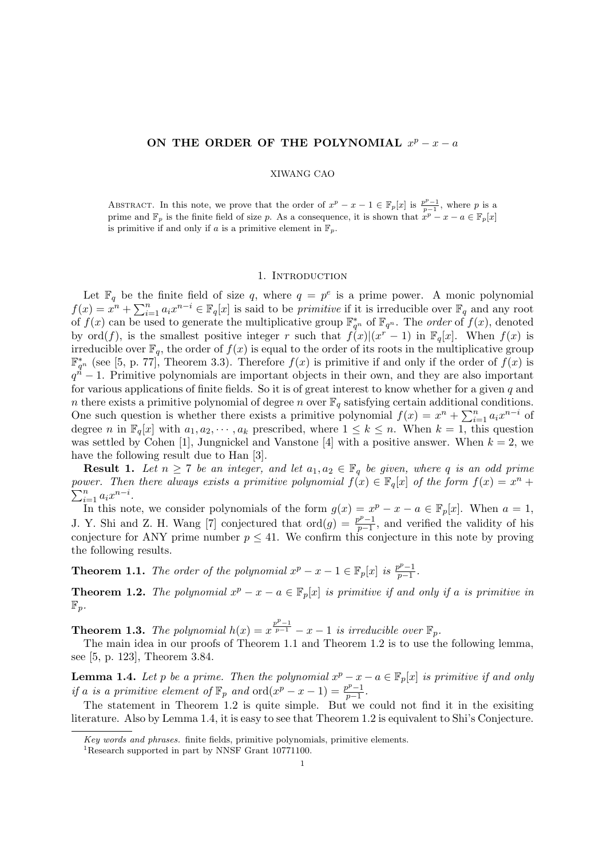## ON THE ORDER OF THE POLYNOMIAL  $x^p - x - a$

## XIWANG CAO

ABSTRACT. In this note, we prove that the order of  $x^p - x - 1 \in \mathbb{F}_p[x]$  is  $\frac{p^p - 1}{p-1}$ , where p is a prime and  $\mathbb{F}_p$  is the finite field of size p. As a consequence, it is shown that  $x^p - x - a \in \mathbb{F}_p[x]$ is primitive if and only if a is a primitive element in  $\mathbb{F}_p$ .

## 1. Introduction

Let  $\mathbb{F}_q$  be the finite field of size q, where  $q = p^e$  is a prime power. A monic polynomial Let  $\mathbb{F}_q$  be the<br> $f(x) = x^n + \sum_{i=1}^n$  $_{i=1}^{n} a_i x^{n-i} \in \mathbb{F}_q[x]$  is said to be *primitive* if it is irreducible over  $\mathbb{F}_q$  and any root of  $f(x)$  can be used to generate the multiplicative group  $\mathbb{F}_{q^n}^*$  of  $\mathbb{F}_{q^n}$ . The *order* of  $f(x)$ , denoted by  $\mathrm{ord}(f)$ , is the smallest positive integer r such that  $f(x)|(x^r-1)$  in  $\mathbb{F}_q[x]$ . When  $f(x)$  is irreducible over  $\mathbb{F}_q$ , the order of  $f(x)$  is equal to the order of its roots in the multiplicative group  $\mathbb{F}_{q^n}^*$  (see [5, p. 77], Theorem 3.3). Therefore  $f(x)$  is primitive if and only if the order of  $f(x)$  is  $q^{\vec{n}}-1$ . Primitive polynomials are important objects in their own, and they are also important for various applications of finite fields. So it is of great interest to know whether for a given  $q$  and n there exists a primitive polynomial of degree n over  $\mathbb{F}_q$  satisfying certain additional conditions. There exists a primitive polynomial of degree *n* over  $\mathbb{F}_q$  satisfying certain additional one such question is whether there exists a primitive polynomial  $f(x) = x^n + \sum_{i=1}^n x_i$  $\sum_{i=1}^n a_i x^{n-i}$  of degree n in  $\mathbb{F}_q[x]$  with  $a_1, a_2, \dots, a_k$  prescribed, where  $1 \leq k \leq n$ . When  $k = 1$ , this question was settled by Cohen [1], Jungnickel and Vanstone [4] with a positive answer. When  $k = 2$ , we have the following result due to Han [3].

**Result 1.** Let  $n \geq 7$  be an integer, and let  $a_1, a_2 \in \mathbb{F}_q$  be given, where q is an odd prime power. Then there always exists a primitive polynomial  $f(x) \in \mathbb{F}_q[x]$  of the form  $f(x) = x^n +$  $\sum_{i=1}^n a_i x^{n-i}.$ 

In this note, we consider polynomials of the form  $g(x) = x^p - x - a \in \mathbb{F}_p[x]$ . When  $a = 1$ , J. Y. Shi and Z. H. Wang [7] conjectured that  $\text{ord}(g) = \frac{p^p-1}{p-1}$  $\frac{p^{\nu}-1}{p-1}$ , and verified the validity of his conjecture for ANY prime number  $p \leq 41$ . We confirm this conjecture in this note by proving the following results.

**Theorem 1.1.** The order of the polynomial  $x^p - x - 1 \in \mathbb{F}_p[x]$  is  $\frac{p^p - 1}{p - 1}$  $\frac{p^p-1}{p-1}$ .

**Theorem 1.2.** The polynomial  $x^p - x - a \in \mathbb{F}_p[x]$  is primitive if and only if a is primitive in  $\mathbb{F}_p$ .

**Theorem 1.3.** The polynomial  $h(x) = x^{\frac{p^p-1}{p-1}} - x - 1$  is irreducible over  $\mathbb{F}_p$ .

The main idea in our proofs of Theorem 1.1 and Theorem 1.2 is to use the following lemma, see [5, p. 123], Theorem 3.84.

**Lemma 1.4.** Let p be a prime. Then the polynomial  $x^p - x - a \in \mathbb{F}_p[x]$  is primitive if and only if a is a primitive element of  $\mathbb{F}_p$  and  $\text{ord}(x^p - x - 1) = \frac{p^p - 1}{p - 1}$  $\frac{p^p-1}{p-1}$ .

The statement in Theorem 1.2 is quite simple. But we could not find it in the exisiting literature. Also by Lemma 1.4, it is easy to see that Theorem 1.2 is equivalent to Shi's Conjecture.

Key words and phrases. finite fields, primitive polynomials, primitive elements.

<sup>&</sup>lt;sup>1</sup>Research supported in part by NNSF Grant 10771100.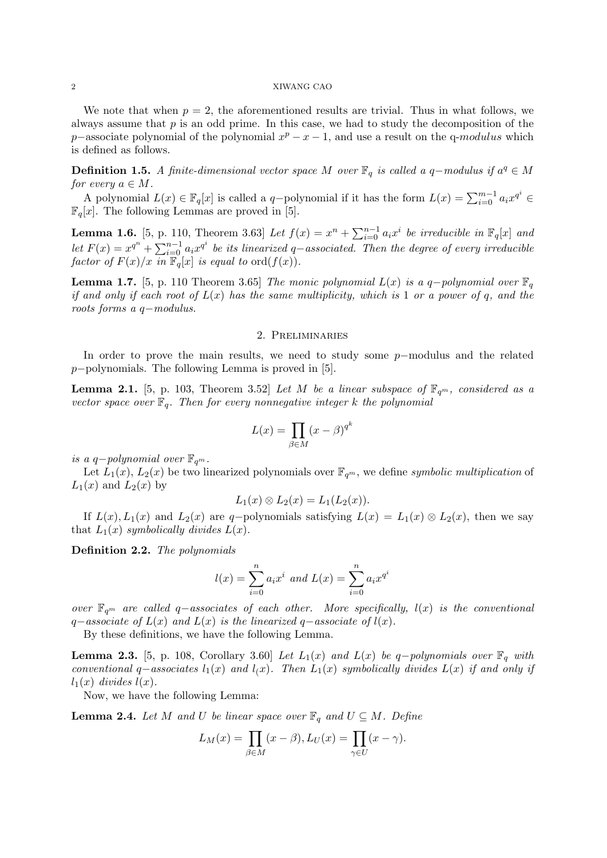#### 2 XIWANG CAO

We note that when  $p = 2$ , the aforementioned results are trivial. Thus in what follows, we always assume that  $p$  is an odd prime. In this case, we had to study the decomposition of the p–associate polynomial of the polynomial  $x^p - x - 1$ , and use a result on the q-modulus which is defined as follows.

**Definition 1.5.** A finite-dimensional vector space M over  $\mathbb{F}_q$  is called a q-modulus if  $a^q \in M$ for every  $a \in M$ .

A polynomial  $L(x) \in \mathbb{F}_q[x]$  is called a q-polynomial if it has the form  $L(x) = \sum_{i=0}^{m-1} a_i x^{q^i} \in$  $\mathbb{F}_q[x]$ . The following Lemmas are proved in [5].

**Lemma 1.6.** [5, p. 110, Theorem 3.63] Let  $f(x) = x^n + \sum_{i=0}^{n-1} f(x_i)$  $\prod_{i=0}^{n-1}a_ix^i$  be irreducible in  $\mathbb{F}_q[x]$  and Let  $F(x) = x^{q^n} + \sum_{i=0}^{n-1}$  $\frac{n-1}{i=0} a_i x^{q^i}$  be its linearized q-associated. Then the degree of every irreducible factor of  $F(x)/x$  in  $\mathbb{F}_q[x]$  is equal to  $\text{ord}(f(x))$ .

**Lemma 1.7.** [5, p. 110 Theorem 3.65] The monic polynomial L(x) is a q-polynomial over  $\mathbb{F}_q$ if and only if each root of  $L(x)$  has the same multiplicity, which is 1 or a power of q, and the roots forms a q−modulus.

## 2. Preliminaries

In order to prove the main results, we need to study some p−modulus and the related p−polynomials. The following Lemma is proved in [5].

**Lemma 2.1.** [5, p. 103, Theorem 3.52] Let M be a linear subspace of  $\mathbb{F}_{q^m}$ , considered as a vector space over  $\mathbb{F}_q$ . Then for every nonnegative integer k the polynomial

$$
L(x) = \prod_{\beta \in M} (x - \beta)^{q^k}
$$

is a q-polynomial over  $\mathbb{F}_{q^m}$ .

Let  $L_1(x)$ ,  $L_2(x)$  be two linearized polynomials over  $\mathbb{F}_{q^m}$ , we define symbolic multiplication of  $L_1(x)$  and  $L_2(x)$  by

$$
L_1(x) \otimes L_2(x) = L_1(L_2(x)).
$$

If  $L(x)$ ,  $L_1(x)$  and  $L_2(x)$  are q-polynomials satisfying  $L(x) = L_1(x) \otimes L_2(x)$ , then we say that  $L_1(x)$  symbolically divides  $L(x)$ .

Definition 2.2. The polynomials

$$
l(x) = \sum_{i=0}^{n} a_i x^i \text{ and } L(x) = \sum_{i=0}^{n} a_i x^{q^i}
$$

over  $\mathbb{F}_{q^m}$  are called q–associates of each other. More specifically,  $l(x)$  is the conventional  $q-associate$  of  $L(x)$  and  $L(x)$  is the linearized  $q-associate$  of  $l(x)$ .

By these definitions, we have the following Lemma.

**Lemma 2.3.** [5, p. 108, Corollary 3.60] Let  $L_1(x)$  and  $L(x)$  be q-polynomials over  $\mathbb{F}_q$  with conventional q–associates  $l_1(x)$  and  $l(x)$ . Then  $L_1(x)$  symbolically divides  $L(x)$  if and only if  $l_1(x)$  divides  $l(x)$ .

Now, we have the following Lemma:

**Lemma 2.4.** Let M and U be linear space over  $\mathbb{F}_q$  and  $U \subseteq M$ . Define

$$
L_M(x) = \prod_{\beta \in M} (x - \beta), L_U(x) = \prod_{\gamma \in U} (x - \gamma).
$$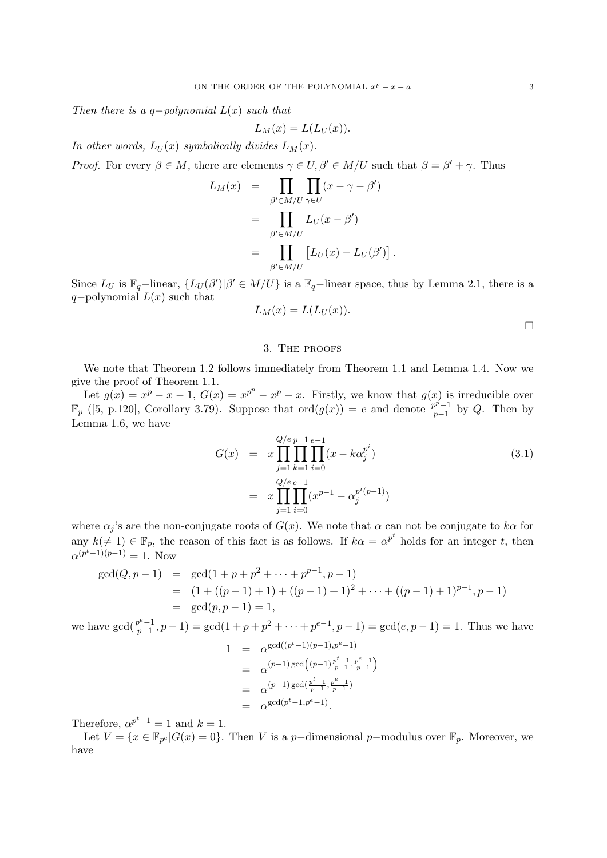Then there is a q-polynomial  $L(x)$  such that

$$
L_M(x) = L(L_U(x)).
$$

In other words,  $L_U(x)$  symbolically divides  $L_M(x)$ .

*Proof.* For every  $\beta \in M$ , there are elements  $\gamma \in U$ ,  $\beta' \in M/U$  such that  $\beta = \beta' + \gamma$ . Thus  $\mathbf{r}$ 

$$
L_M(x) = \prod_{\beta' \in M/U} \prod_{\gamma \in U} (x - \gamma - \beta')
$$
  
= 
$$
\prod_{\beta' \in M/U} L_U(x - \beta')
$$
  
= 
$$
\prod_{\beta' \in M/U} [L_U(x) - L_U(\beta')] .
$$

Since  $L_U$  is  $\mathbb{F}_q$ -linear,  $\{L_U(\beta')|\beta' \in M/U\}$  is a  $\mathbb{F}_q$ -linear space, thus by Lemma 2.1, there is a q−polynomial  $L(x)$  such that

$$
L_M(x) = L(L_U(x)).
$$

#### 3. The proofs

We note that Theorem 1.2 follows immediately from Theorem 1.1 and Lemma 1.4. Now we give the proof of Theorem 1.1.

Let  $g(x) = x^p - x - 1$ ,  $G(x) = x^{p^p} - x^p - x$ . Firstly, we know that  $g(x)$  is irreducible over  $\mathbb{F}_p$  ([5, p.120], Corollary 3.79). Suppose that  $\text{ord}(g(x)) = e$  and denote  $\frac{p^p-1}{p-1}$  $\frac{p^p-1}{p-1}$  by Q. Then by Lemma 1.6, we have

$$
G(x) = x \prod_{j=1}^{Q/e} \prod_{k=1}^{p-1} \prod_{i=0}^{e-1} (x - k \alpha_j^{p^i})
$$
  
= 
$$
x \prod_{j=1}^{Q/e} \prod_{i=0}^{e-1} (x^{p-1} - \alpha_j^{p^i(p-1)})
$$
 (3.1)

where  $\alpha_j$ 's are the non-conjugate roots of  $G(x)$ . We note that  $\alpha$  can not be conjugate to  $k\alpha$  for any  $k(\neq 1) \in \mathbb{F}_p$ , the reason of this fact is as follows. If  $k\alpha = \alpha^{p^t}$  holds for an integer t, then  $\alpha^{(p^t-1)(p-1)} = 1.$  Now

$$
gcd(Q, p-1) = gcd(1+p+p^2+\cdots+p^{p-1}, p-1)
$$
  
= (1 + ((p-1) + 1) + ((p-1) + 1)<sup>2</sup> + \cdots + ((p-1) + 1)<sup>p-1</sup>, p-1)  
= gcd(p, p-1) = 1,

we have  $gcd(\frac{p^e-1}{p-1})$  $p^{e}-1$ ,  $p-1$ ) = gcd $(1+p+p^2+\cdots+p^{e-1}, p-1)$  = gcd $(e, p-1)$  = 1. Thus we have

$$
1 = \alpha^{\gcd((p^t-1)(p-1), p^e-1)}
$$
  
=  $\alpha^{(p-1)\gcd((p-1)\frac{p^t-1}{p-1}, \frac{p^e-1}{p-1})}$   
=  $\alpha^{(p-1)\gcd(\frac{p^t-1}{p-1}, \frac{p^e-1}{p-1})}$   
=  $\alpha^{\gcd(p^t-1, p^e-1)}$ .

Therefore,  $\alpha^{p^t-1} = 1$  and  $k = 1$ .

Let  $V = \{x \in \mathbb{F}_{p^e} | G(x) = 0\}$ . Then V is a p-dimensional p-modulus over  $\mathbb{F}_p$ . Moreover, we have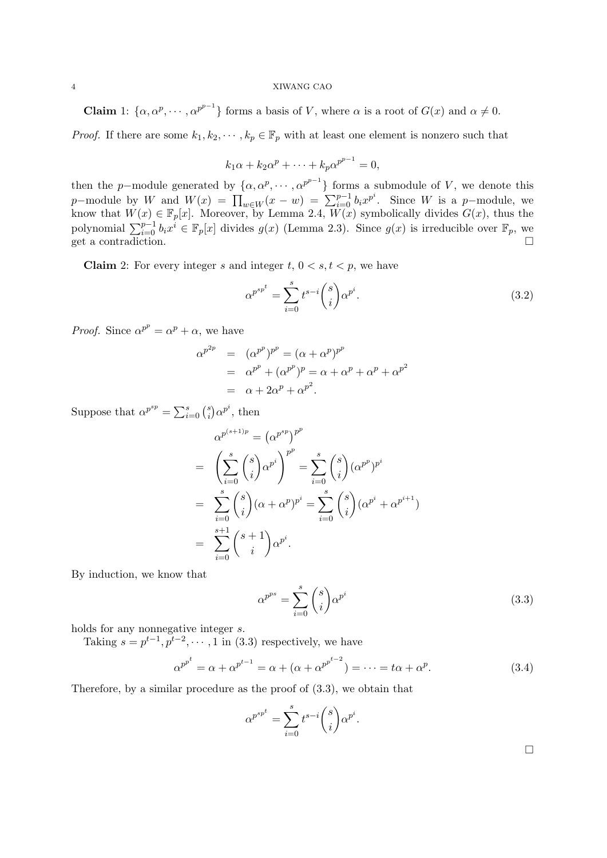## 4 XIWANG CAO

**Claim** 1:  $\{\alpha, \alpha^p, \dots, \alpha^{p^{p-1}}\}$  forms a basis of V, where  $\alpha$  is a root of  $G(x)$  and  $\alpha \neq 0$ .

*Proof.* If there are some  $k_1, k_2, \dots, k_p \in \mathbb{F}_p$  with at least one element is nonzero such that

$$
k_1\alpha + k_2\alpha^p + \dots + k_p\alpha^{p^{p-1}} = 0,
$$

then the p-module generated by  $\{\alpha, \alpha^p, \dots, \alpha^{p^{p-1}}\}$  forms a submodule of V, we denote this  $p$ -module by W and  $W(x) = \prod_{w \in W} (x - w) = \sum_{i=0}^{p-1} b_i x^{p^i}$ . Since W is a p-module, we know that  $W(x) \in \mathbb{F}_p[x]$ . Moreover, by Lemma 2.4,  $W(x)$  symbolically divides  $G(x)$ , thus the polynomial  $\sum_{i=0}^{p-1} b_i x^i \in \mathbb{F}_p[x]$  divides  $g(x)$  (Lemma 2.3). Since  $g(x)$  is irreducible over  $\mathbb{F}_p$ , we get a contradiction.  $\Box$ 

**Claim** 2: For every integer s and integer t,  $0 \lt s, t \lt p$ , we have

$$
\alpha^{p^{sp^t}} = \sum_{i=0}^{s} t^{s-i} \binom{s}{i} \alpha^{p^i}.
$$
\n(3.2)

*Proof.* Since  $\alpha^{p^p} = \alpha^p + \alpha$ , we have

$$
\alpha^{p^{2p}} = (\alpha^{p^p})^{p^p} = (\alpha + \alpha^p)^{p^p}
$$
  
=  $\alpha^{p^p} + (\alpha^{p^p})^p = \alpha + \alpha^p + \alpha^p + \alpha^{p^2}$   
=  $\alpha + 2\alpha^p + \alpha^{p^2}$ .

Suppose that  $\alpha^{p^{sp}} = \sum_{i=0}^{s} {s \choose i}$ i ¢  $\alpha^{p^i}$ , then

$$
\alpha^{p^{(s+1)p}} = (\alpha^{p^{sp}})^{p^p}
$$
  
= 
$$
\left(\sum_{i=0}^s \binom{s}{i} \alpha^{p^i}\right)^{p^p} = \sum_{i=0}^s \binom{s}{i} (\alpha^{p^p})^{p^i}
$$
  
= 
$$
\sum_{i=0}^s \binom{s}{i} (\alpha + \alpha^p)^{p^i} = \sum_{i=0}^s \binom{s}{i} (\alpha^{p^i} + \alpha^{p^{i+1}})
$$
  
= 
$$
\sum_{i=0}^{s+1} \binom{s+1}{i} \alpha^{p^i}.
$$

By induction, we know that

$$
\alpha^{p^{ps}} = \sum_{i=0}^{s} \binom{s}{i} \alpha^{p^{i}}
$$
\n(3.3)

holds for any nonnegative integer s.

Taking  $s = p^{t-1}, p^{t-2}, \dots, 1$  in (3.3) respectively, we have

$$
\alpha^{p^{p^t}} = \alpha + \alpha^{p^{t-1}} = \alpha + (\alpha + \alpha^{p^{p^{t-2}}}) = \dots = t\alpha + \alpha^p. \tag{3.4}
$$

Therefore, by a similar procedure as the proof of (3.3), we obtain that

$$
\alpha^{p^{sp^t}} = \sum_{i=0}^s t^{s-i} {s \choose i} \alpha^{p^i}.
$$

 $\Box$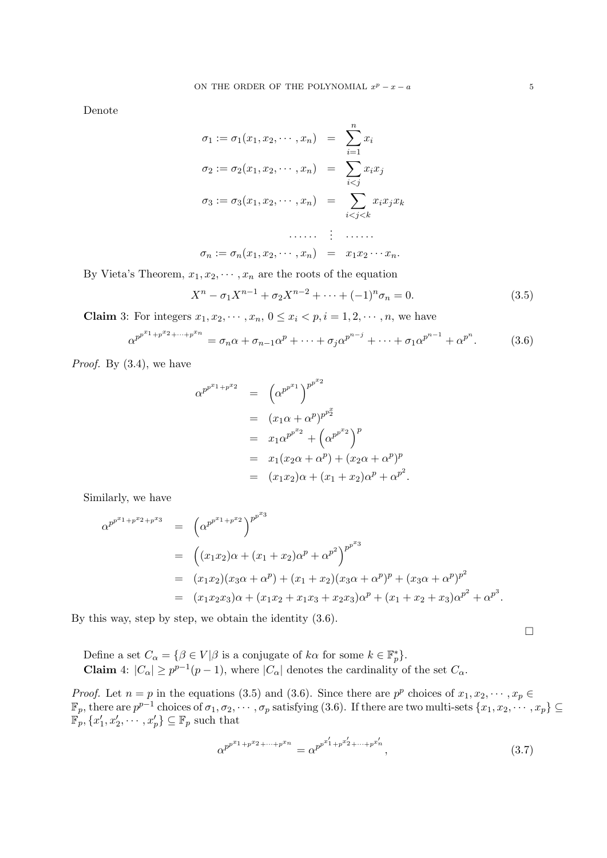Denote

$$
\sigma_1 := \sigma_1(x_1, x_2, \cdots, x_n) = \sum_{i=1}^n x_i
$$
  
\n
$$
\sigma_2 := \sigma_2(x_1, x_2, \cdots, x_n) = \sum_{i < j} x_i x_j
$$
  
\n
$$
\sigma_3 := \sigma_3(x_1, x_2, \cdots, x_n) = \sum_{i < j < k} x_i x_j x_k
$$
  
\n
$$
\cdots \cdots \vdots \cdots \cdots
$$
  
\n
$$
\sigma_n := \sigma_n(x_1, x_2, \cdots, x_n) = x_1 x_2 \cdots x_n.
$$

By Vieta's Theorem,  $x_1, x_2, \dots, x_n$  are the roots of the equation

$$
X^{n} - \sigma_{1}X^{n-1} + \sigma_{2}X^{n-2} + \cdots + (-1)^{n}\sigma_{n} = 0.
$$
 (3.5)

**Claim** 3: For integers  $x_1, x_2, \dots, x_n, 0 \le x_i \le p, i = 1, 2, \dots, n$ , we have

$$
\alpha^{p^{p^{n_1}+p^{x_2}+\cdots+p^{x_n}}} = \sigma_n \alpha + \sigma_{n-1} \alpha^p + \cdots + \sigma_j \alpha^{p^{n-j}} + \cdots + \sigma_1 \alpha^{p^{n-1}} + \alpha^{p^n}.
$$
 (3.6)

*Proof.* By  $(3.4)$ , we have

$$
\alpha^{p^{p^{x_1}+p^{x_2}}} = (\alpha^{p^{p^{x_1}}})^{p^{p^{x_2}}}
$$
  
=  $(x_1\alpha + \alpha^p)^{p^{x_2}}$   
=  $x_1\alpha^{p^{p^{x_2}}} + (\alpha^{p^{p^{x_2}}})^p$   
=  $x_1(x_2\alpha + \alpha^p) + (x_2\alpha + \alpha^p)^p$   
=  $(x_1x_2)\alpha + (x_1 + x_2)\alpha^p + \alpha^{p^2}.$ 

Similarly, we have

$$
\alpha^{p^{p^{x_{1}}+p^{x_{2}}+p^{x_{3}}}} = (\alpha^{p^{p^{x_{1}}+p^{x_{2}}}})^{p^{p^{x_{3}}}}
$$
\n
$$
= ((x_{1}x_{2})\alpha + (x_{1} + x_{2})\alpha^{p} + \alpha^{p^{2}})^{p^{p^{x_{3}}}}
$$
\n
$$
= (x_{1}x_{2})(x_{3}\alpha + \alpha^{p}) + (x_{1} + x_{2})(x_{3}\alpha + \alpha^{p})^{p} + (x_{3}\alpha + \alpha^{p})^{p^{2}}
$$
\n
$$
= (x_{1}x_{2}x_{3})\alpha + (x_{1}x_{2} + x_{1}x_{3} + x_{2}x_{3})\alpha^{p} + (x_{1} + x_{2} + x_{3})\alpha^{p^{2}} + \alpha^{p^{3}}.
$$

By this way, step by step, we obtain the identity (3.6).

¤

Define a set  $C_{\alpha} = \{ \beta \in V | \beta \text{ is a conjugate of } k\alpha \text{ for some } k \in \mathbb{F}_p^* \}.$ **Claim** 4:  $|C_{\alpha}| \geq p^{p-1}(p-1)$ , where  $|C_{\alpha}|$  denotes the cardinality of the set  $C_{\alpha}$ .

*Proof.* Let  $n = p$  in the equations (3.5) and (3.6). Since there are  $p^p$  choices of  $x_1, x_2, \dots, x_p \in$  $\mathbb{F}_p$ , there are  $p^{p-1}$  choices of  $\sigma_1, \sigma_2, \cdots, \sigma_p$  satisfying (3.6). If there are two multi-sets  $\{x_1, x_2, \cdots, x_p\} \subseteq$  $\mathbb{F}_p, \{x_1', x_2', \cdots, x_p'\} \subseteq \mathbb{F}_p$  such that

$$
\alpha^{p^{p^{x_1}+p^{x_2}+\cdots+p^{x_n}}} = \alpha^{p^{p^{x'_1}+p^{x'_2}+\cdots+p^{x'_n}}},\tag{3.7}
$$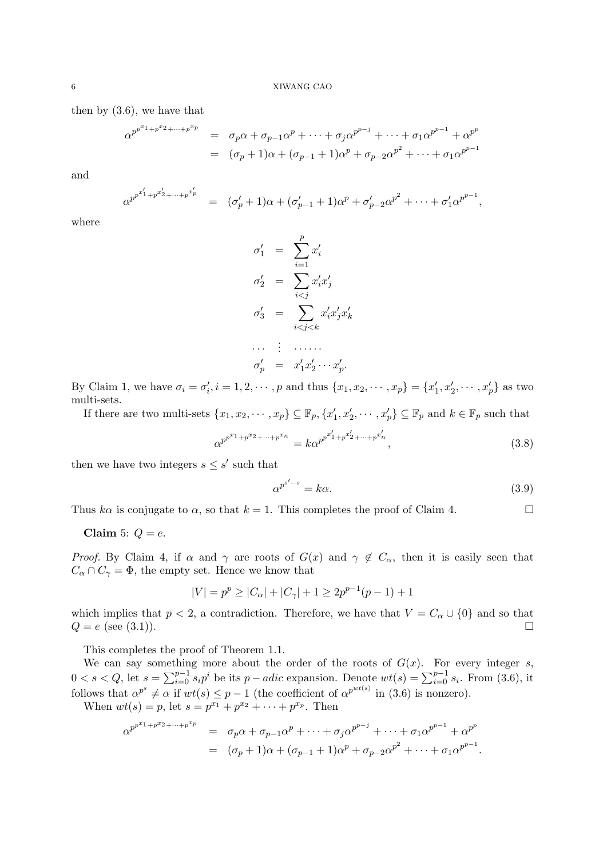then by (3.6), we have that

$$
\alpha^{p^{p^{x_{1}}+p^{x_{2}}+\cdots+p^{x_{p}}}} = \sigma_{p}\alpha + \sigma_{p-1}\alpha^{p} + \cdots + \sigma_{j}\alpha^{p^{p-j}} + \cdots + \sigma_{1}\alpha^{p^{p-1}} + \alpha^{p^{p}} = (\sigma_{p}+1)\alpha + (\sigma_{p-1}+1)\alpha^{p} + \sigma_{p-2}\alpha^{p^{2}} + \cdots + \sigma_{1}\alpha^{p^{p-1}}
$$

and

$$
\alpha^{p^{p^{x'_1}+p^{x'_2}+\cdots+p^{x'_p}}} = (\sigma'_p+1)\alpha + (\sigma'_{p-1}+1)\alpha^p + \sigma'_{p-2}\alpha^{p^2} + \cdots + \sigma'_1\alpha^{p^{p-1}},
$$

where

$$
\sigma'_1 = \sum_{i=1}^p x'_i
$$
  
\n
$$
\sigma'_2 = \sum_{i < j} x'_i x'_j
$$
  
\n
$$
\sigma'_3 = \sum_{i < j < k} x'_i x'_j x'_k
$$
  
\n
$$
\dots \quad \vdots \quad \dots \dots
$$
  
\n
$$
\sigma'_p = x'_1 x'_2 \cdots x'_p.
$$

By Claim 1, we have  $\sigma_i = \sigma'_i, i = 1, 2, \cdots, p$  and thus  $\{x_1, x_2, \cdots, x_p\} = \{x'_1, x'_2, \cdots, x'_p\}$  as two multi-sets.

If there are two multi-sets  $\{x_1, x_2, \cdots, x_p\} \subseteq \mathbb{F}_p$ ,  $\{x'_1, x'_2, \cdots, x'_p\} \subseteq \mathbb{F}_p$  and  $k \in \mathbb{F}_p$  such that

$$
\alpha^{p^{p^{x_1}+p^{x_2}+\cdots+p^{x_n}}} = k\alpha^{p^{p^{x'_1}+p^{x'_2}+\cdots+p^{x'_n}}},
$$
\n(3.8)

then we have two integers  $s \leq s'$  such that

$$
\alpha^{p^{s'-s}} = k\alpha. \tag{3.9}
$$

Thus ka is conjugate to  $\alpha$ , so that  $k = 1$ . This completes the proof of Claim 4.

# Claim 5:  $Q = e$ .

*Proof.* By Claim 4, if  $\alpha$  and  $\gamma$  are roots of  $G(x)$  and  $\gamma \notin C_{\alpha}$ , then it is easily seen that  $C_{\alpha} \cap C_{\gamma} = \Phi$ , the empty set. Hence we know that

$$
|V| = p^{p} \ge |C_{\alpha}| + |C_{\gamma}| + 1 \ge 2p^{p-1}(p-1) + 1
$$

which implies that  $p < 2$ , a contradiction. Therefore, we have that  $V = C_{\alpha} \cup \{0\}$  and so that  $Q = e \text{ (see (3.1))}.$ 

This completes the proof of Theorem 1.1.

We can say something more about the order of the roots of  $G(x)$ . For every integer s, we can say sometime<br> $0 < s < Q$ , let  $s = \sum_{i=0}^{p-1}$  $\sum_{i=0}^{p-1} s_i p^i$  be its  $p - adic$  expansion. Denote  $wt(s) = \sum_{i=0}^{p-1} s_i$ . From (3.6), it follows that  $\alpha^{p^s} \neq \alpha$  if  $wt(s) \leq p-1$  (the coefficient of  $\alpha^{p^{wt(s)}}$  in (3.6) is nonzero).

When  $wt(s) = p$ , let  $s = p^{x_1} + p^{x_2} + \cdots + p^{x_p}$ . Then

$$
\alpha^{p^{p^{x_1}+p^{x_2}+\cdots+p^{x_p}}} = \sigma_p \alpha + \sigma_{p-1} \alpha^p + \cdots + \sigma_j \alpha^{p^{p-j}} + \cdots + \sigma_1 \alpha^{p^{p-1}} + \alpha^{p^p}
$$
  
=  $(\sigma_p + 1)\alpha + (\sigma_{p-1} + 1)\alpha^p + \sigma_{p-2} \alpha^{p^2} + \cdots + \sigma_1 \alpha^{p^{p-1}}.$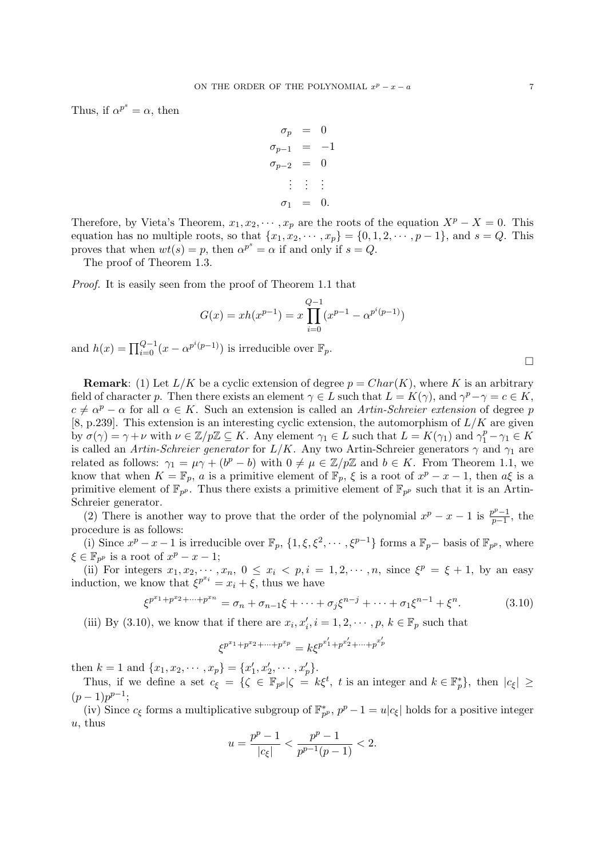Thus, if  $\alpha^{p^s} = \alpha$ , then

$$
\begin{aligned}\n\sigma_p &= 0 \\
\sigma_{p-1} &= -1 \\
\sigma_{p-2} &= 0 \\
&\vdots &\vdots \\
\sigma_1 &= 0.\n\end{aligned}
$$

Therefore, by Vieta's Theorem,  $x_1, x_2, \cdots, x_p$  are the roots of the equation  $X^p - X = 0$ . This equation has no multiple roots, so that  $\{x_1, x_2, \dots, x_p\} = \{0, 1, 2, \dots, p-1\}$ , and  $s = Q$ . This proves that when  $wt(s) = p$ , then  $\alpha^{p^s} = \alpha$  if and only if  $s = Q$ .

The proof of Theorem 1.3.

Proof. It is easily seen from the proof of Theorem 1.1 that

$$
G(x) = xh(x^{p-1}) = x \prod_{i=0}^{Q-1} (x^{p-1} - \alpha^{p^{i}(p-1)})
$$

and  $h(x) = \prod_{i=0}^{Q-1} (x - \alpha^{p^i(p-1)})$  is irreducible over  $\mathbb{F}_p$ .

**Remark:** (1) Let  $L/K$  be a cyclic extension of degree  $p = Char(K)$ , where K is an arbitrary field of character p. Then there exists an element  $\gamma \in L$  such that  $L = K(\gamma)$ , and  $\gamma^p - \gamma = c \in K$ ,  $c \neq \alpha^p - \alpha$  for all  $\alpha \in K$ . Such an extension is called an Artin-Schreier extension of degree p [8, p.239]. This extension is an interesting cyclic extension, the automorphism of  $L/K$  are given by  $\sigma(\gamma) = \gamma + \nu$  with  $\nu \in \mathbb{Z}/p\mathbb{Z} \subseteq K$ . Any element  $\gamma_1 \in L$  such that  $L = K(\gamma_1)$  and  $\gamma_1^p - \gamma_1 \in K$ is called an Artin-Schreier generator for  $L/K$ . Any two Artin-Schreier generators  $\gamma$  and  $\gamma_1$  are related as follows:  $\gamma_1 = \mu \gamma + (b^p - b)$  with  $0 \neq \mu \in \mathbb{Z}/p\mathbb{Z}$  and  $b \in K$ . From Theorem 1.1, we know that when  $K = \mathbb{F}_p$ , a is a primitive element of  $\mathbb{F}_p$ ,  $\xi$  is a root of  $x^p - x - 1$ , then  $a\xi$  is a primitive element of  $\mathbb{F}_{p^p}$ . Thus there exists a primitive element of  $\mathbb{F}_{p^p}$  such that it is an Artin-Schreier generator.

(2) There is another way to prove that the order of the polynomial  $x^p - x - 1$  is  $\frac{p^p - 1}{p-1}$  $\frac{p^p-1}{p-1}$ , the procedure is as follows:

(i) Since  $x^p - x - 1$  is irreducible over  $\mathbb{F}_p$ ,  $\{1, \xi, \xi^2, \dots, \xi^{p-1}\}$  forms a  $\mathbb{F}_p$ - basis of  $\mathbb{F}_{p^p}$ , where  $\xi \in \mathbb{F}_{p^p}$  is a root of  $x^p - x - 1$ ;

(ii) For integers  $x_1, x_2, \dots, x_n, 0 \le x_i < p, i = 1, 2, \dots, n$ , since  $\xi^p = \xi + 1$ , by an easy induction, we know that  $\xi^{p^{x_i}} = x_i + \xi$ , thus we have

$$
\xi^{p^{x_1}+p^{x_2}+\cdots+p^{x_n}} = \sigma_n + \sigma_{n-1}\xi + \cdots + \sigma_j\xi^{n-j} + \cdots + \sigma_1\xi^{n-1} + \xi^n.
$$
 (3.10)

(iii) By (3.10), we know that if there are  $x_i, x'_i, i = 1, 2, \dots, p, k \in \mathbb{F}_p$  such that

$$
\xi^{p^{x_1}+p^{x_2}+\cdots+p^{x_p}}=k\xi^{p^{x'_1}+p^{x'_2}+\cdots+p^{x'_p}}
$$

then  $k = 1$  and  $\{x_1, x_2, \dots, x_p\} = \{x'_1, x'_2, \dots, x'_p\}.$ 

Thus, if we define a set  $c_{\xi} = \{ \zeta \in \mathbb{F}_{p^p} | \zeta = k \xi^t, t \text{ is an integer and } k \in \mathbb{F}_p^* \},\$  then  $|c_{\xi}| \geq$  $(p-1)p^{p-1};$ 

(iv) Since  $c_{\xi}$  forms a multiplicative subgroup of  $\mathbb{F}_{p^p}^*$ ,  $p^p - 1 = u|c_{\xi}|$  holds for a positive integer  $u$ , thus

$$
u=\frac{p^p-1}{|c_\xi|}<\frac{p^p-1}{p^{p-1}(p-1)}<2.
$$

 $\Box$